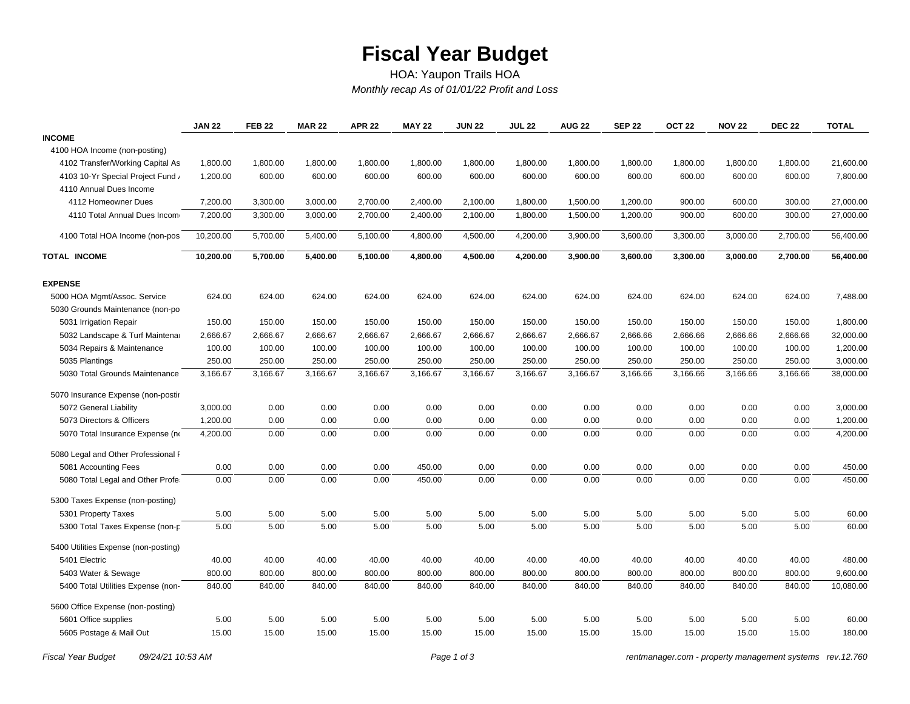## **Fiscal Year Budget**

## *Monthly recap As of 01/01/22 Profit and Loss* HOA: Yaupon Trails HOA

|                                      | <b>JAN 22</b> | <b>FEB 22</b> | <b>MAR 22</b> | <b>APR 22</b> | <b>MAY 22</b> | <b>JUN 22</b> | <b>JUL 22</b> | <b>AUG 22</b> | <b>SEP 22</b> | OCT <sub>22</sub> | <b>NOV 22</b> | <b>DEC 22</b> | <b>TOTAL</b> |
|--------------------------------------|---------------|---------------|---------------|---------------|---------------|---------------|---------------|---------------|---------------|-------------------|---------------|---------------|--------------|
| <b>INCOME</b>                        |               |               |               |               |               |               |               |               |               |                   |               |               |              |
| 4100 HOA Income (non-posting)        |               |               |               |               |               |               |               |               |               |                   |               |               |              |
| 4102 Transfer/Working Capital As     | 1,800.00      | 1,800.00      | 1,800.00      | 1,800.00      | 1,800.00      | 1,800.00      | 1,800.00      | 1,800.00      | 1,800.00      | 1,800.00          | 1,800.00      | 1,800.00      | 21,600.00    |
| 4103 10-Yr Special Project Fund      | 1,200.00      | 600.00        | 600.00        | 600.00        | 600.00        | 600.00        | 600.00        | 600.00        | 600.00        | 600.00            | 600.00        | 600.00        | 7,800.00     |
| 4110 Annual Dues Income              |               |               |               |               |               |               |               |               |               |                   |               |               |              |
| 4112 Homeowner Dues                  | 7,200.00      | 3,300.00      | 3,000.00      | 2,700.00      | 2,400.00      | 2,100.00      | 1,800.00      | 1,500.00      | 1,200.00      | 900.00            | 600.00        | 300.00        | 27,000.00    |
| 4110 Total Annual Dues Incom         | 7,200.00      | 3,300.00      | 3,000.00      | 2,700.00      | 2,400.00      | 2,100.00      | 1,800.00      | 1,500.00      | 1,200.00      | 900.00            | 600.00        | 300.00        | 27,000.00    |
| 4100 Total HOA Income (non-pos       | 10,200.00     | 5,700.00      | 5,400.00      | 5,100.00      | 4,800.00      | 4,500.00      | 4,200.00      | 3,900.00      | 3,600.00      | 3,300.00          | 3,000.00      | 2,700.00      | 56,400.00    |
| TOTAL INCOME                         | 10,200.00     | 5,700.00      | 5,400.00      | 5,100.00      | 4,800.00      | 4,500.00      | 4,200.00      | 3,900.00      | 3,600.00      | 3,300.00          | 3,000.00      | 2,700.00      | 56,400.00    |
| <b>EXPENSE</b>                       |               |               |               |               |               |               |               |               |               |                   |               |               |              |
| 5000 HOA Mgmt/Assoc. Service         | 624.00        | 624.00        | 624.00        | 624.00        | 624.00        | 624.00        | 624.00        | 624.00        | 624.00        | 624.00            | 624.00        | 624.00        | 7,488.00     |
| 5030 Grounds Maintenance (non-po     |               |               |               |               |               |               |               |               |               |                   |               |               |              |
| 5031 Irrigation Repair               | 150.00        | 150.00        | 150.00        | 150.00        | 150.00        | 150.00        | 150.00        | 150.00        | 150.00        | 150.00            | 150.00        | 150.00        | 1,800.00     |
| 5032 Landscape & Turf Maintena       | 2,666.67      | 2,666.67      | 2,666.67      | 2,666.67      | 2,666.67      | 2,666.67      | 2,666.67      | 2,666.67      | 2,666.66      | 2,666.66          | 2,666.66      | 2,666.66      | 32,000.00    |
| 5034 Repairs & Maintenance           | 100.00        | 100.00        | 100.00        | 100.00        | 100.00        | 100.00        | 100.00        | 100.00        | 100.00        | 100.00            | 100.00        | 100.00        | 1,200.00     |
| 5035 Plantings                       | 250.00        | 250.00        | 250.00        | 250.00        | 250.00        | 250.00        | 250.00        | 250.00        | 250.00        | 250.00            | 250.00        | 250.00        | 3,000.00     |
| 5030 Total Grounds Maintenance       | 3,166.67      | 3,166.67      | 3,166.67      | 3,166.67      | 3,166.67      | 3,166.67      | 3,166.67      | 3,166.67      | 3,166.66      | 3,166.66          | 3,166.66      | 3,166.66      | 38,000.00    |
| 5070 Insurance Expense (non-postir   |               |               |               |               |               |               |               |               |               |                   |               |               |              |
| 5072 General Liability               | 3,000.00      | 0.00          | 0.00          | 0.00          | 0.00          | 0.00          | 0.00          | 0.00          | 0.00          | 0.00              | 0.00          | 0.00          | 3,000.00     |
| 5073 Directors & Officers            | 1,200.00      | 0.00          | 0.00          | 0.00          | 0.00          | 0.00          | 0.00          | 0.00          | 0.00          | 0.00              | 0.00          | 0.00          | 1,200.00     |
| 5070 Total Insurance Expense (no     | 4,200.00      | 0.00          | 0.00          | 0.00          | 0.00          | 0.00          | 0.00          | 0.00          | 0.00          | 0.00              | 0.00          | 0.00          | 4,200.00     |
| 5080 Legal and Other Professional I  |               |               |               |               |               |               |               |               |               |                   |               |               |              |
| 5081 Accounting Fees                 | 0.00          | 0.00          | 0.00          | 0.00          | 450.00        | 0.00          | 0.00          | 0.00          | 0.00          | 0.00              | 0.00          | 0.00          | 450.00       |
| 5080 Total Legal and Other Profe     | 0.00          | 0.00          | 0.00          | 0.00          | 450.00        | 0.00          | 0.00          | 0.00          | 0.00          | 0.00              | 0.00          | 0.00          | 450.00       |
| 5300 Taxes Expense (non-posting)     |               |               |               |               |               |               |               |               |               |                   |               |               |              |
| 5301 Property Taxes                  | 5.00          | 5.00          | 5.00          | 5.00          | 5.00          | 5.00          | 5.00          | 5.00          | 5.00          | 5.00              | 5.00          | 5.00          | 60.00        |
| 5300 Total Taxes Expense (non-p      | 5.00          | 5.00          | 5.00          | 5.00          | 5.00          | 5.00          | 5.00          | 5.00          | 5.00          | 5.00              | 5.00          | 5.00          | 60.00        |
| 5400 Utilities Expense (non-posting) |               |               |               |               |               |               |               |               |               |                   |               |               |              |
| 5401 Electric                        | 40.00         | 40.00         | 40.00         | 40.00         | 40.00         | 40.00         | 40.00         | 40.00         | 40.00         | 40.00             | 40.00         | 40.00         | 480.00       |
| 5403 Water & Sewage                  | 800.00        | 800.00        | 800.00        | 800.00        | 800.00        | 800.00        | 800.00        | 800.00        | 800.00        | 800.00            | 800.00        | 800.00        | 9,600.00     |
| 5400 Total Utilities Expense (non-   | 840.00        | 840.00        | 840.00        | 840.00        | 840.00        | 840.00        | 840.00        | 840.00        | 840.00        | 840.00            | 840.00        | 840.00        | 10,080.00    |
| 5600 Office Expense (non-posting)    |               |               |               |               |               |               |               |               |               |                   |               |               |              |
| 5601 Office supplies                 | 5.00          | 5.00          | 5.00          | 5.00          | 5.00          | 5.00          | 5.00          | 5.00          | 5.00          | 5.00              | 5.00          | 5.00          | 60.00        |
| 5605 Postage & Mail Out              | 15.00         | 15.00         | 15.00         | 15.00         | 15.00         | 15.00         | 15.00         | 15.00         | 15.00         | 15.00             | 15.00         | 15.00         | 180.00       |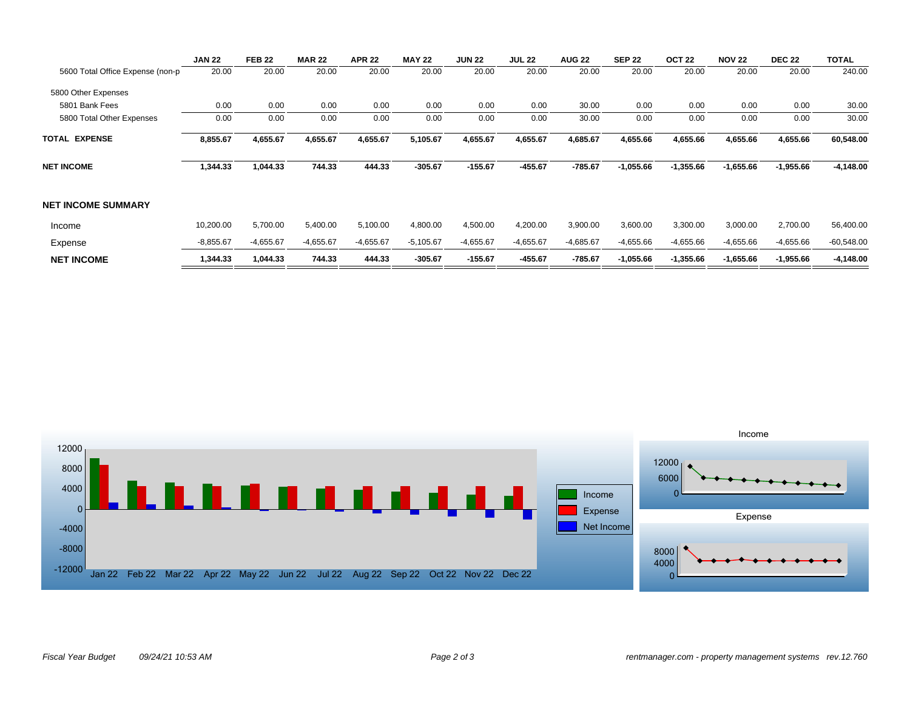|                                  | <b>JAN 22</b> | <b>FEB 22</b> | <b>MAR 22</b> | <b>APR 22</b> | <b>MAY 22</b> | <b>JUN 22</b> | <b>JUL 22</b> | <b>AUG 22</b> | <b>SEP 22</b> | OCT <sub>22</sub> | <b>NOV 22</b> | <b>DEC 22</b> | <b>TOTAL</b> |
|----------------------------------|---------------|---------------|---------------|---------------|---------------|---------------|---------------|---------------|---------------|-------------------|---------------|---------------|--------------|
| 5600 Total Office Expense (non-p | 20.00         | 20.00         | 20.00         | 20.00         | 20.00         | 20.00         | 20.00         | 20.00         | 20.00         | 20.00             | 20.00         | 20.00         | 240.00       |
| 5800 Other Expenses              |               |               |               |               |               |               |               |               |               |                   |               |               |              |
| 5801 Bank Fees                   | 0.00          | 0.00          | 0.00          | 0.00          | 0.00          | 0.00          | 0.00          | 30.00         | 0.00          | 0.00              | 0.00          | 0.00          | 30.00        |
| 5800 Total Other Expenses        | 0.00          | 0.00          | 0.00          | 0.00          | 0.00          | 0.00          | 0.00          | 30.00         | 0.00          | 0.00              | 0.00          | 0.00          | 30.00        |
| <b>TOTAL EXPENSE</b>             | 8,855.67      | 4,655.67      | 4,655.67      | 4,655.67      | 5,105.67      | 4,655.67      | 4,655.67      | 4,685.67      | 4,655.66      | 4,655.66          | 4,655.66      | 4,655.66      | 60,548.00    |
| <b>NET INCOME</b>                | 1,344.33      | 1,044.33      | 744.33        | 444.33        | $-305.67$     | $-155.67$     | $-455.67$     | $-785.67$     | $-1,055.66$   | $-1,355.66$       | $-1,655.66$   | $-1,955.66$   | $-4,148.00$  |
| <b>NET INCOME SUMMARY</b>        |               |               |               |               |               |               |               |               |               |                   |               |               |              |
| Income                           | 10,200.00     | 5,700.00      | 5,400.00      | 5,100.00      | 4,800.00      | 4,500.00      | 4,200.00      | 3,900.00      | 3,600.00      | 3,300.00          | 3,000.00      | 2,700.00      | 56,400.00    |
| Expense                          | $-8,855.67$   | $-4,655.67$   | $-4,655.67$   | $-4,655.67$   | $-5,105.67$   | $-4,655.67$   | $-4,655.67$   | $-4,685.67$   | $-4,655.66$   | $-4,655.66$       | $-4,655.66$   | $-4,655.66$   | $-60,548.00$ |
| <b>NET INCOME</b>                | 1,344.33      | 1,044.33      | 744.33        | 444.33        | $-305.67$     | $-155.67$     | $-455.67$     | $-785.67$     | $-1,055.66$   | $-1,355.66$       | $-1,655.66$   | $-1,955.66$   | $-4,148.00$  |
|                                  |               |               |               |               |               |               |               |               |               |                   |               |               |              |